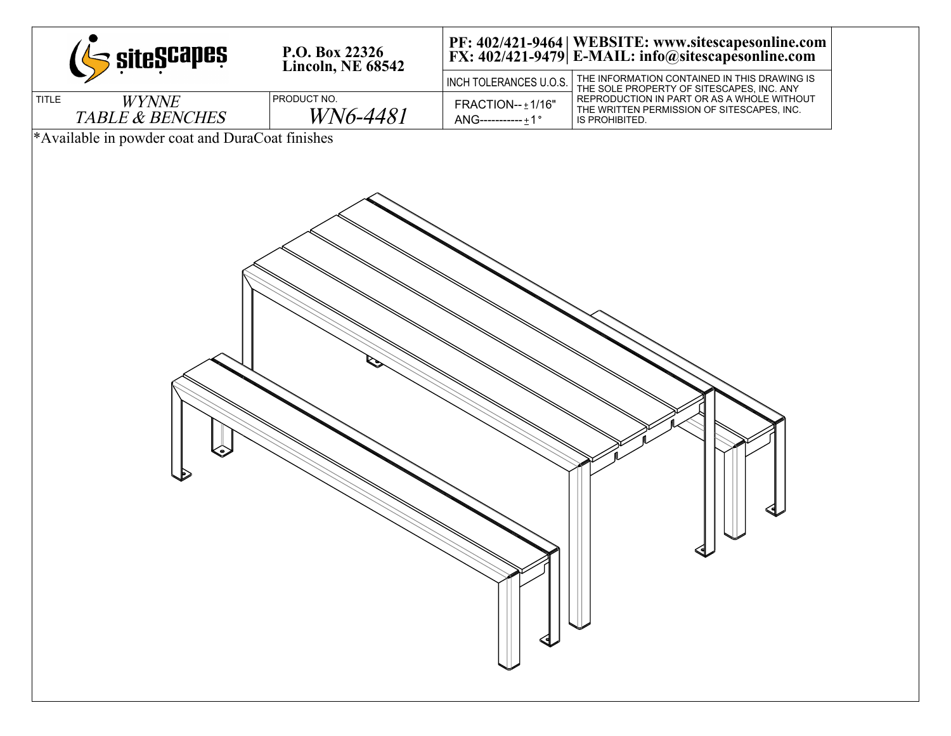